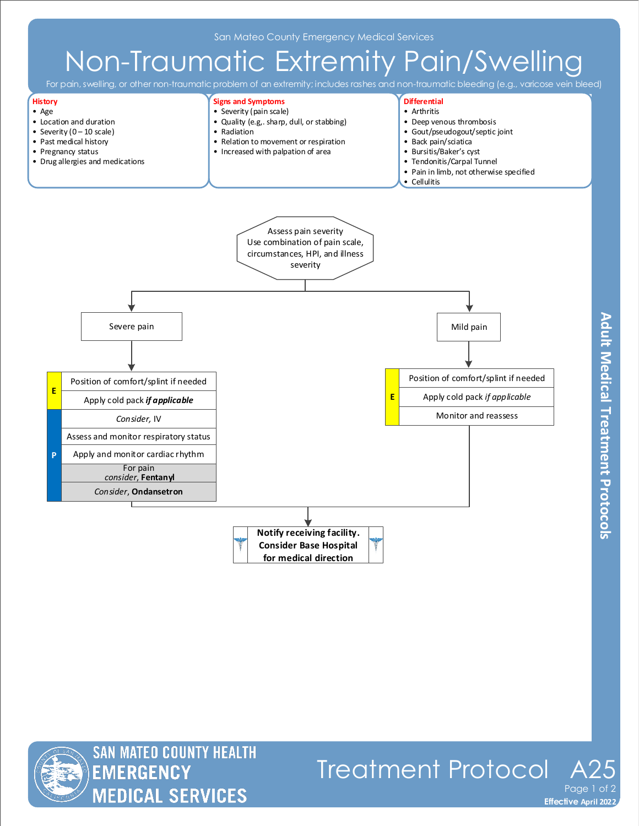# Non-Traumatic Extremity Pain/Swelling

For pain, swelling, or other non-traumatic problem of an extremity; includes rashes and non-traumatic bleeding (e.g., varicose vein bleed)

• Tendonitis/Carpal Tunnel



- Pregnancy status
- Drug allergies and medications







**Effective November 2018 Effective April 2022**